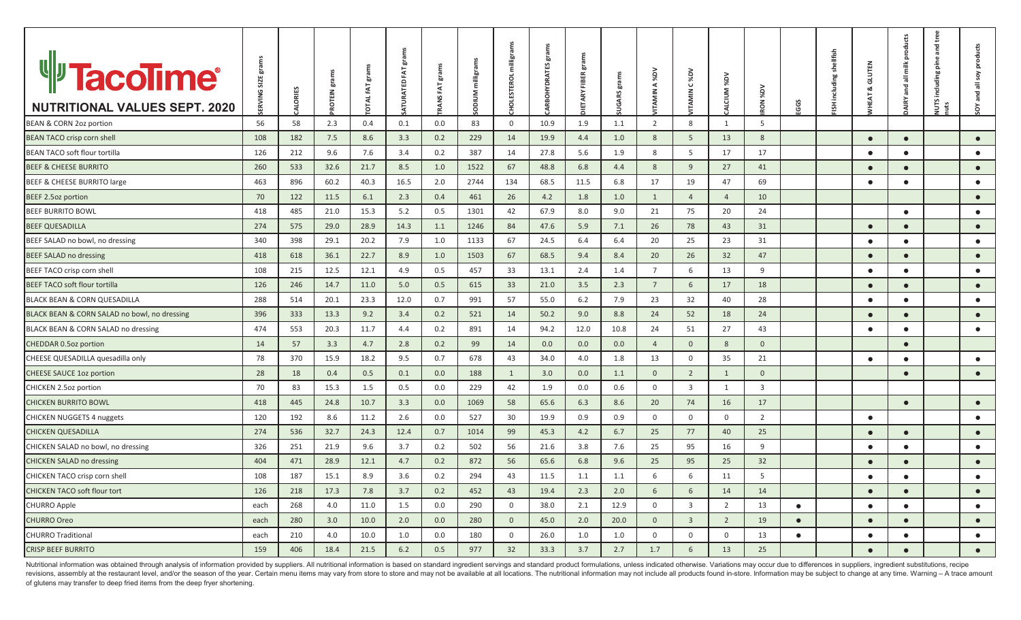| <sup>u</sup> Tacolime®                       | <b>ERVING SIZE gran</b> |                | <b>PROTEIN</b> grams | FAT grams   | grams<br>ATURATED FAT | grams<br>FAT, | milligr    | milligr           | grams<br><b>ARBOHYDRATES</b> | ξ<br>era<br>FIBER, | grams         | Ng%<br>$\prec$  | C%DV           |                |                |           | ISH including shellfish | <b>GLUTEN</b><br>ഄ | products<br>all milk | ႕မွ<br>÷<br>and<br>ine<br>uding | all soy products |
|----------------------------------------------|-------------------------|----------------|----------------------|-------------|-----------------------|---------------|------------|-------------------|------------------------------|--------------------|---------------|-----------------|----------------|----------------|----------------|-----------|-------------------------|--------------------|----------------------|---------------------------------|------------------|
|                                              |                         | <b>ALORIES</b> |                      | <b>OTAL</b> |                       | <b>RANS</b>   | Σ<br>DIDIO | <b>HOLESTEROL</b> |                              | <b>JIETARY</b>     | <b>JUGARS</b> | <b>ITAMIN</b>   | <b>ITAMIN</b>  | CALCIUM %DV    | YO%            |           |                         |                    | and<br><b>MIRY</b>   | <u>re</u>                       | and              |
| <b>NUTRITIONAL VALUES SEPT. 2020</b>         |                         |                |                      |             |                       |               |            |                   |                              |                    |               |                 |                |                | RON            | GGS       |                         |                    |                      | ĽЯ<br>μ'n                       | $\delta$         |
| BEAN & CORN 2oz portion                      | 56                      | 58             | 2.3                  | 0.4         | 0.1                   | 0.0           | 83         | $\mathbf 0$       | 10.9                         | 1.9                | 1.1           | 2               | 8              | $\mathbf{1}$   | 5              |           |                         |                    |                      |                                 |                  |
| BEAN TACO crisp corn shell                   | 108                     | 182            | 7.5                  | 8.6         | 3.3                   | 0.2           | 229        | 14                | 19.9                         | 4.4                | 1.0           | $8\phantom{1}$  | 5              | 13             | 8              |           |                         | $\bullet$          | $\bullet$            |                                 | $\bullet$        |
| <b>BEAN TACO soft flour tortilla</b>         | 126                     | 212            | 9.6                  | 7.6         | 3.4                   | 0.2           | 387        | 14                | 27.8                         | 5.6                | 1.9           | 8               | 5              | 17             | 17             |           |                         | $\bullet$          | $\bullet$            |                                 | $\bullet$        |
| <b>BEEF &amp; CHEESE BURRITO</b>             | 260                     | 533            | 32.6                 | 21.7        | 8.5                   | 1.0           | 1522       | 67                | 48.8                         | 6.8                | 4.4           | $8\phantom{1}$  | 9              | 27             | 41             |           |                         | $\bullet$          | $\bullet$            |                                 | $\bullet$        |
| BEEF & CHEESE BURRITO large                  | 463                     | 896            | 60.2                 | 40.3        | 16.5                  | 2.0           | 2744       | 134               | 68.5                         | 11.5               | 6.8           | 17              | 19             | 47             | 69             |           |                         | $\bullet$          | $\bullet$            |                                 | $\bullet$        |
| <b>BEEF 2.5oz portion</b>                    | 70                      | 122            | 11.5                 | 6.1         | 2.3                   | 0.4           | 461        | 26                | 4.2                          | 1.8                | 1.0           | 1               | $\overline{4}$ | $\overline{4}$ | 10             |           |                         |                    |                      |                                 | $\bullet$        |
| <b>BEEF BURRITO BOWL</b>                     | 418                     | 485            | 21.0                 | 15.3        | 5.2                   | 0.5           | 1301       | 42                | 67.9                         | 8.0                | 9.0           | 21              | 75             | 20             | 24             |           |                         |                    | $\bullet$            |                                 | $\bullet$        |
| <b>BEEF QUESADILLA</b>                       | 274                     | 575            | 29.0                 | 28.9        | 14.3                  | 1.1           | 1246       | 84                | 47.6                         | 5.9                | 7.1           | 26              | 78             | 43             | 31             |           |                         | $\bullet$          | $\bullet$            |                                 | $\bullet$        |
| BEEF SALAD no bowl, no dressing              | 340                     | 398            | 29.1                 | 20.2        | 7.9                   | 1.0           | 1133       | 67                | 24.5                         | 6.4                | 6.4           | 20              | 25             | 23             | 31             |           |                         | $\bullet$          | $\bullet$            |                                 | $\bullet$        |
| BEEF SALAD no dressing                       | 418                     | 618            | 36.1                 | 22.7        | 8.9                   | 1.0           | 1503       | 67                | 68.5                         | 9.4                | 8.4           | 20              | 26             | 32             | 47             |           |                         | $\bullet$          | $\bullet$            |                                 | $\bullet$        |
| BEEF TACO crisp corn shell                   | 108                     | 215            | 12.5                 | 12.1        | 4.9                   | 0.5           | 457        | 33                | 13.1                         | 2.4                | 1.4           | $\overline{7}$  | 6              | 13             | 9              |           |                         | $\bullet$          | $\bullet$            |                                 | $\bullet$        |
| <b>BEEF TACO soft flour tortilla</b>         | 126                     | 246            | 14.7                 | 11.0        | 5.0                   | 0.5           | 615        | 33                | 21.0                         | 3.5                | 2.3           | $7\overline{ }$ | 6              | 17             | 18             |           |                         | $\bullet$          | $\bullet$            |                                 | $\bullet$        |
| BLACK BEAN & CORN QUESADILLA                 | 288                     | 514            | 20.1                 | 23.3        | 12.0                  | 0.7           | 991        | 57                | 55.0                         | 6.2                | 7.9           | 23              | 32             | 40             | 28             |           |                         | $\bullet$          | $\bullet$            |                                 | $\bullet$        |
| BLACK BEAN & CORN SALAD no bowl, no dressing | 396                     | 333            | 13.3                 | 9.2         | 3.4                   | 0.2           | 521        | 14                | 50.2                         | 9.0                | 8.8           | 24              | 52             | 18             | 24             |           |                         | $\bullet$          | $\bullet$            |                                 | $\bullet$        |
| BLACK BEAN & CORN SALAD no dressing          | 474                     | 553            | 20.3                 | 11.7        | 4.4                   | 0.2           | 891        | 14                | 94.2                         | 12.0               | 10.8          | 24              | 51             | 27             | 43             |           |                         | $\bullet$          | $\bullet$            |                                 | $\bullet$        |
| CHEDDAR 0.5oz portion                        | 14                      | 57             | 3.3                  | 4.7         | 2.8                   | 0.2           | 99         | 14                | 0.0                          | 0.0                | 0.0           | $\overline{4}$  | $\overline{0}$ | 8              | $\mathbf{0}$   |           |                         |                    | $\bullet$            |                                 |                  |
| CHEESE QUESADILLA quesadilla only            | 78                      | 370            | 15.9                 | 18.2        | 9.5                   | 0.7           | 678        | 43                | 34.0                         | 4.0                | 1.8           | 13              | $\mathbf 0$    | 35             | 21             |           |                         | $\bullet$          | $\bullet$            |                                 | $\bullet$        |
| <b>CHEESE SAUCE 1oz portion</b>              | 28                      | 18             | 0.4                  | 0.5         | 0.1                   | 0.0           | 188        | 1                 | 3.0                          | 0.0                | 1.1           | $\mathbf 0$     | $\overline{2}$ | 1              | $\mathbf{0}$   |           |                         |                    | $\bullet$            |                                 | $\bullet$        |
| CHICKEN 2.5oz portion                        | 70                      | 83             | 15.3                 | 1.5         | 0.5                   | 0.0           | 229        | 42                | 1.9                          | 0.0                | 0.6           | $\overline{0}$  | $\overline{3}$ | 1              | $\overline{3}$ |           |                         |                    |                      |                                 |                  |
| <b>CHICKEN BURRITO BOWL</b>                  | 418                     | 445            | 24.8                 | 10.7        | 3.3                   | 0.0           | 1069       | 58                | 65.6                         | 6.3                | 8.6           | 20              | 74             | 16             | 17             |           |                         |                    | $\bullet$            |                                 | $\bullet$        |
| <b>CHICKEN NUGGETS 4 nuggets</b>             | 120                     | 192            | 8.6                  | 11.2        | 2.6                   | 0.0           | 527        | 30                | 19.9                         | 0.9                | 0.9           | $\overline{0}$  | $\mathsf{O}$   | $\mathbf 0$    | 2              |           |                         | $\bullet$          |                      |                                 | $\bullet$        |
| <b>CHICKEN QUESADILLA</b>                    | 274                     | 536            | 32.7                 | 24.3        | 12.4                  | 0.7           | 1014       | 99                | 45.3                         | 4.2                | 6.7           | 25              | 77             | 40             | 25             |           |                         | $\bullet$          | $\bullet$            |                                 | $\bullet$        |
| CHICKEN SALAD no bowl, no dressing           | 326                     | 251            | 21.9                 | 9.6         | 3.7                   | 0.2           | 502        | 56                | 21.6                         | 3.8                | 7.6           | 25              | 95             | 16             | 9              |           |                         | $\bullet$          | $\bullet$            |                                 | $\bullet$        |
| <b>CHICKEN SALAD no dressing</b>             | 404                     | 471            | 28.9                 | 12.1        | 4.7                   | 0.2           | 872        | 56                | 65.6                         | 6.8                | 9.6           | 25              | 95             | 25             | 32             |           |                         | $\bullet$          | $\bullet$            |                                 | $\bullet$        |
| CHICKEN TACO crisp corn shell                | 108                     | 187            | 15.1                 | 8.9         | 3.6                   | 0.2           | 294        | 43                | 11.5                         | 1.1                | 1.1           | 6               | 6              | 11             | 5              |           |                         | $\bullet$          | $\bullet$            |                                 | $\bullet$        |
| <b>CHICKEN TACO soft flour tort</b>          | 126                     | 218            | 17.3                 | 7.8         | 3.7                   | 0.2           | 452        | 43                | 19.4                         | 2.3                | 2.0           | 6               | 6              | 14             | 14             |           |                         | $\bullet$          | $\bullet$            |                                 | $\bullet$        |
| <b>CHURRO Apple</b>                          | each                    | 268            | 4.0                  | 11.0        | 1.5                   | 0.0           | 290        | $\mathbf 0$       | 38.0                         | 2.1                | 12.9          | $\overline{0}$  | $\overline{3}$ | 2              | 13             | $\bullet$ |                         | $\bullet$          | $\bullet$            |                                 | $\bullet$        |
| <b>CHURRO Oreo</b>                           | each                    | 280            | 3.0                  | 10.0        | 2.0                   | 0.0           | 280        | $\mathbf{0}$      | 45.0                         | 2.0                | 20.0          | $\mathbf{0}$    | $\overline{3}$ | $\overline{2}$ | 19             | $\bullet$ |                         | $\bullet$          | $\bullet$            |                                 | $\bullet$        |
| <b>CHURRO Traditional</b>                    | each                    | 210            | 4.0                  | 10.0        | 1.0                   | 0.0           | 180        | $\mathbf 0$       | 26.0                         | 1.0                | 1.0           | $\mathbf 0$     | $\mathbf 0$    | $\mathbf 0$    | 13             | $\bullet$ |                         | $\bullet$          | $\bullet$            |                                 | $\bullet$        |
| <b>CRISP BEEF BURRITO</b>                    | 159                     | 406            | 18.4                 | 21.5        | 6.2                   | 0.5           | 977        | 32                | 33.3                         | 3.7                | 2.7           | 1.7             | 6              | 13             | 25             |           |                         | $\bullet$          | $\bullet$            |                                 | $\bullet$        |

Nutritional information was obtained through analysis of information provided by suppliers. All nutritional information is based on standard ingredient servings and standard product formulations, unless indicated otherwise revisions, assembly at the restaurant level, and/or the season of the year. Certain menu items may vary from store to store and may not be available at all locations. The nutritional information may not include all product of glutens may transfer to deep fried items from the deep fryer shortening.